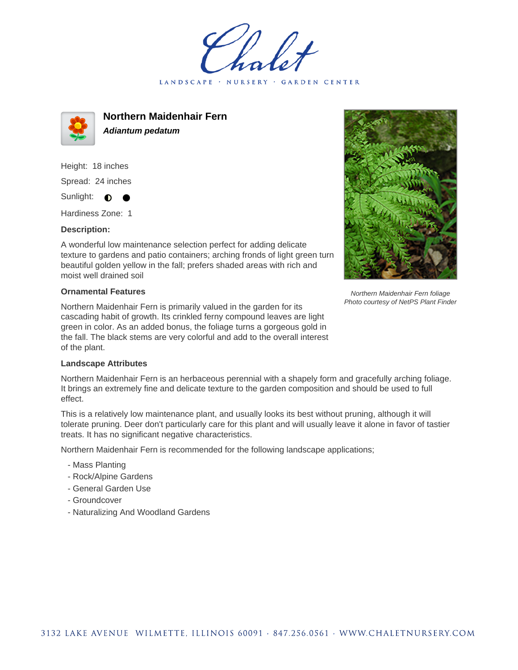LANDSCAPE · NURSERY GARDEN CENTER



**Northern Maidenhair Fern Adiantum pedatum**

Height: 18 inches Spread: 24 inches Sunlight:  $\bullet$ 

Hardiness Zone: 1

## **Description:**

A wonderful low maintenance selection perfect for adding delicate texture to gardens and patio containers; arching fronds of light green turn beautiful golden yellow in the fall; prefers shaded areas with rich and moist well drained soil

## **Ornamental Features**

Northern Maidenhair Fern is primarily valued in the garden for its cascading habit of growth. Its crinkled ferny compound leaves are light green in color. As an added bonus, the foliage turns a gorgeous gold in the fall. The black stems are very colorful and add to the overall interest of the plant.



Northern Maidenhair Fern foliage Photo courtesy of NetPS Plant Finder

## **Landscape Attributes**

Northern Maidenhair Fern is an herbaceous perennial with a shapely form and gracefully arching foliage. It brings an extremely fine and delicate texture to the garden composition and should be used to full effect.

This is a relatively low maintenance plant, and usually looks its best without pruning, although it will tolerate pruning. Deer don't particularly care for this plant and will usually leave it alone in favor of tastier treats. It has no significant negative characteristics.

Northern Maidenhair Fern is recommended for the following landscape applications;

- Mass Planting
- Rock/Alpine Gardens
- General Garden Use
- Groundcover
- Naturalizing And Woodland Gardens